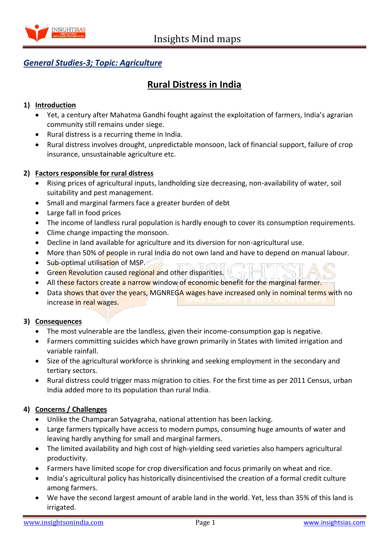

## *General Studies-3; Topic: Agriculture*

# **Rural Distress in India**

### **1) Introduction**

- Yet, a century after Mahatma Gandhi fought against the exploitation of farmers, India's agrarian community still remains under siege.
- Rural distress is a recurring theme in India.
- Rural distress involves drought, unpredictable monsoon, lack of financial support, failure of crop insurance, unsustainable agriculture etc.

#### **2) Factors responsible for rural distress**

- Rising prices of agricultural inputs, landholding size decreasing, non-availability of water, soil suitability and pest management.
- Small and marginal farmers face a greater burden of debt
- Large fall in food prices
- The income of landless rural population is hardly enough to cover its consumption requirements.
- Clime change impacting the monsoon.
- Decline in land available for agriculture and its diversion for non-agricultural use.
- More than 50% of people in rural India do not own land and have to depend on manual labour.
- Sub-optimal utilisation of MSP.
- **Green Revolution caused regional and other disparities.**
- All these factors create a narrow window of economic benefit for the marginal farmer.
- Data shows that over the years, MGNREGA wages have increased only in nominal terms with no increase in real wages.

#### **3) Consequences**

- The most vulnerable are the landless, given their income-consumption gap is negative.
- Farmers committing suicides which have grown primarily in States with limited irrigation and variable rainfall.
- Size of the agricultural workforce is shrinking and seeking employment in the secondary and tertiary sectors.
- Rural distress could trigger mass migration to cities. For the first time as per 2011 Census, urban India added more to its population than rural India.

## **4) Concerns / Challenges**

- Unlike the Champaran Satyagraha, national attention has been lacking.
- Large farmers typically have access to modern pumps, consuming huge amounts of water and leaving hardly anything for small and marginal farmers.
- The limited availability and high cost of high-yielding seed varieties also hampers agricultural productivity.
- Farmers have limited scope for crop diversification and focus primarily on wheat and rice.
- India's agricultural policy has historically disincentivised the creation of a formal credit culture among farmers.
- We have the second largest amount of arable land in the world. Yet, less than 35% of this land is irrigated.